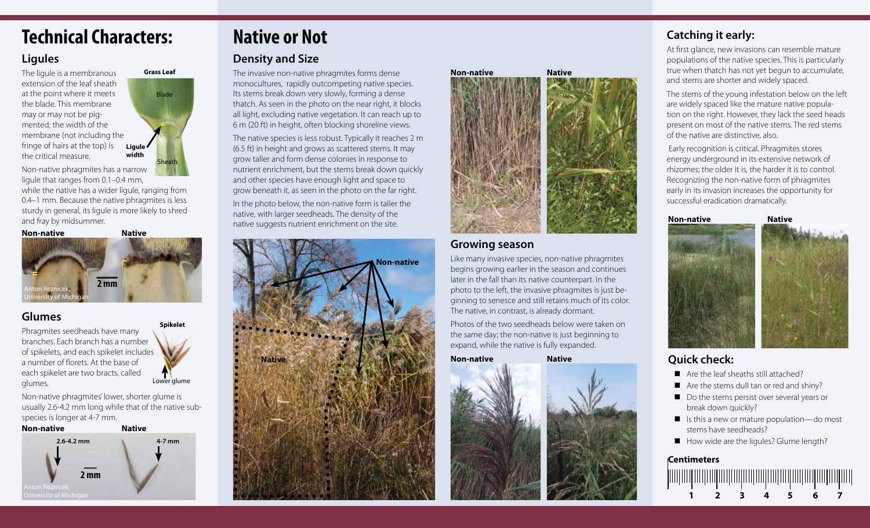# **Technical Characters:**

#### **Ligules**

The ligule is a membranous extension of the leaf sheath at the point where it meets the blade. This membrane may or may not be pigmented; the width of the membrane (not including the fringe of hairs at the top) is the critical measure.

Blade Sheath **Grass Leaf Ligule width**

Non-native phragmites has a narrow ligule that ranges from 0.1–0.4 mm,

while the native has a wider liqule, ranging from 0.4–1 mm. Because the native phragmites is less sturdy in general, its ligule is more likely to shred and fray by midsummer.

**Non-native Native 2 mm** Anton Reznicek, University of Michigan

### **Glumes**

Phragmites seedheads have many branches. Each branch has a number of spikelets, and each spikelet includes a number of florets. At the base of each spikelet are two bracts, called glumes.

**Spikelet**

Lower glume

Non-native phragmites' lower, shorter glume is usually 2.6-4.2 mm long while that of the native subspecies is longer at 4-7 mm.



# **Native or Not**

## **Density and Size**

The invasive non-native phragmites forms dense monocultures, rapidly outcompeting native species. Its stems break down very slowly, forming a dense thatch. As seen in the photo on the near right, it blocks all light, excluding native vegetation. It can reach up to 6 m (20 ft) in height, often blocking shoreline views.

The native species is less robust. Typically it reaches 2 m (6.5 ft) in height and grows as scattered stems. It may grow taller and form dense colonies in response to nutrient enrichment, but the stems break down quickly and other species have enough light and space to grow beneath it, as seen in the photo on the far right.

In the photo below, the non-native form is taller the native, with larger seedheads. The density of the native suggests nutrient enrichment on the site.





#### **Growing season**

Like many invasive species, non-native phragmites begins growing earlier in the season and continues later in the fall than its native counterpart. In the photo to the left, the invasive phragmites is just beginning to senesce and still retains much of its color. The native, in contrast, is already dormant.

Photos of the two seedheads below were taken on the same day; the non-native is just beginning to expand, while the native is fully expanded.

**Non-native Native**



# **Catching it early:**

At first glance, new invasions can resemble mature populations of the native species. This is particularly true when thatch has not yet begun to accumulate, and stems are shorter and widely spaced.

The stems of the young infestation below on the left are widely spaced like the mature native population on the right. However, they lack the seed heads present on most of the native stems. The red stems of the native are distinctive, also.

 Early recognition is critical. Phragmites stores energy underground in its extensive network of rhizomes; the older it is, the harder it is to control. Recognizing the non-native form of phragmites early in its invasion increases the opportunity for successful eradication dramatically.



# **Quick check:**

- Are the leaf sheaths still attached?
- $\blacksquare$  Are the stems dull tan or red and shiny?
- Do the stems persist over several years or break down quickly?
- Is this a new or mature population—do most stems have seedheads?
- How wide are the ligules? Glume length?

#### **Centimeters**